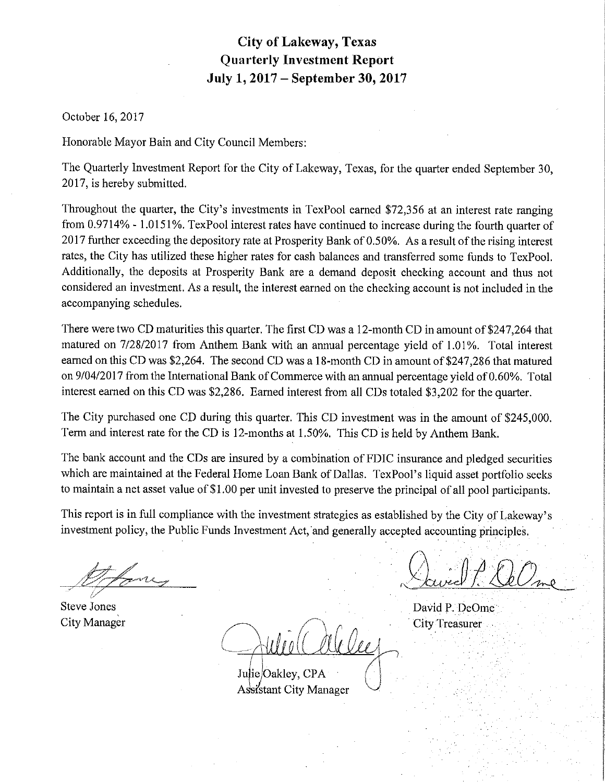# **City of Lakeway, Texas Quarterly Investment Report July 1, 2017- September 30, 2017**

October 16, 2017

Honorable Mayor Bain and City Council Members:

The Quarterly Investment Report for the City of Lakeway, Texas, for the quarter ended September 30, 2017, is hereby submitted.

Throughout the quarter, the City's investments in TexPool earned \$72,356 at an interest rate ranging from 0.9714% - 1.0151%. TexPool interest rates have continued to increase during the fourth quarter of 2017 further exceeding the depository rate at Prosperity Bank of 0.50%. As a result of the rising interest rates, the City has utilized these higher rates for cash balances and transferred some funds to TexPool. Additionally, the deposits at Prosperity Bank are a demand deposit checking account and thus not considered an investment. As a result, the interest earned on the checking account is not included in the accompanying schedules.

There were two CD maturities this quarter. The first CD was a 12-month CD in amount of \$247,264 that matured on 7/28/2017 from Anthem Bank with an annual percentage yield of 1.01%. Total interest earned on this CD was \$2,264. The second CD was a 18-month CD in amount of \$247,286 that matured on 9/04/2017 from the International Bank of Commerce with an annual percentage yield of 0.60%. Total interest earned on this CD was \$2,286. Earned interest from all CDs totaled \$3,202 for the quarter.

The City purchased one CD during this quarter. This CD investment was in the amount of \$245,000. Term and interest rate for the CD is 12-months at 1.50%. This CD is held by Anthem Bank.

The bank account and the CDs are insured by a combination of FDIC insurance and pledged securities which are maintained at the Federal Home Loan Bank of Dallas. TexPool's liquid asset portfolio seeks to maintain a net asset value of \$1.00 per unit invested to preserve the principal of all pool participants.

This report is in full compliance with the investment strategies as established by the City of Lakeway's investment policy, the Public Funds Investment Act, and generally accepted accounting principles,

(/

Steve Jones City Manager

Julie/Oakley, CPA Assistant City Manager

 $(A \cdot \mathbb{1} \mathcal{A} \mathcal{F}) \wedge$ <u>Daviel P. Ochme</u>

David P. DeOme **City Treasurer**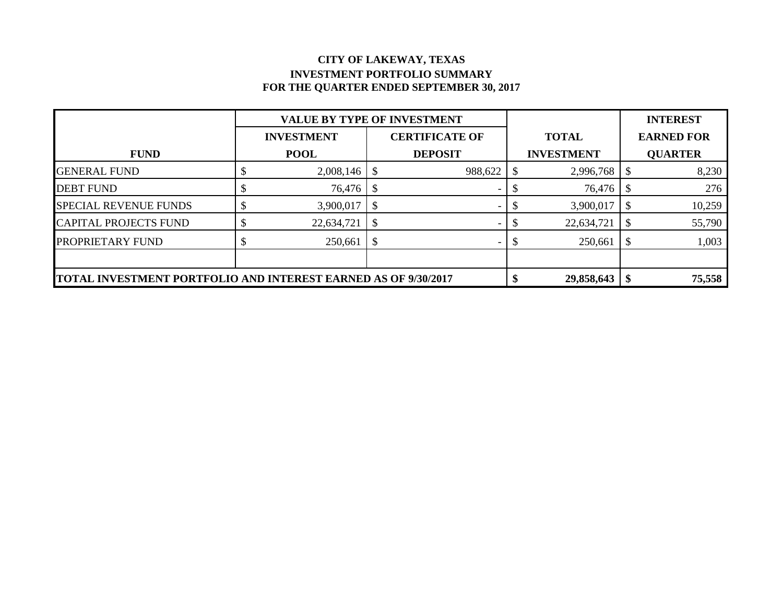#### **CITY OF LAKEWAY, TEXAS INVESTMENT PORTFOLIO SUMMARY FOR THE QUARTER ENDED SEPTEMBER 30, 2017**

|                                                                | <b>VALUE BY TYPE OF INVESTMENT</b> |                       |         |    |                   |      | <b>INTEREST</b>   |  |
|----------------------------------------------------------------|------------------------------------|-----------------------|---------|----|-------------------|------|-------------------|--|
|                                                                | <b>INVESTMENT</b>                  | <b>CERTIFICATE OF</b> |         |    | <b>TOTAL</b>      |      | <b>EARNED FOR</b> |  |
| <b>FUND</b>                                                    | <b>POOL</b>                        | <b>DEPOSIT</b>        |         |    | <b>INVESTMENT</b> |      | <b>QUARTER</b>    |  |
| <b>GENERAL FUND</b>                                            | 2,008,146                          |                       | 988,622 | Л. | 2,996,768         |      | 8,230             |  |
| <b>DEBT FUND</b>                                               | 76,476                             |                       |         |    | 76,476            |      | 276               |  |
| <b>SPECIAL REVENUE FUNDS</b>                                   | 3,900,017                          |                       |         |    | 3,900,017         |      | 10,259            |  |
| <b>CAPITAL PROJECTS FUND</b>                                   | 22,634,721                         |                       |         |    | 22,634,721        |      | 55,790            |  |
| PROPRIETARY FUND                                               | 250,661                            |                       |         |    | 250,661           |      | 1,003             |  |
|                                                                |                                    |                       |         |    |                   |      |                   |  |
| TOTAL INVESTMENT PORTFOLIO AND INTEREST EARNED AS OF 9/30/2017 |                                    |                       |         |    | 29,858,643        | - \$ | 75,558            |  |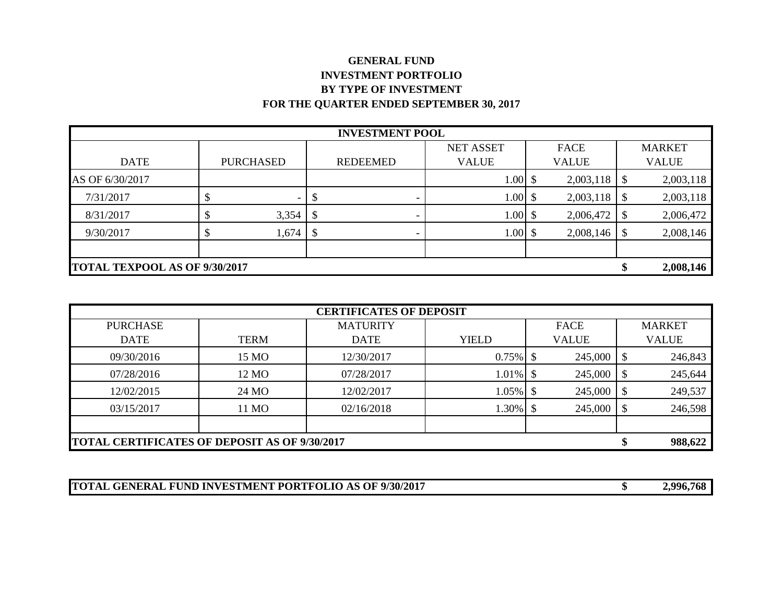## **GENERAL FUND INVESTMENT PORTFOLIO BY TYPE OF INVESTMENT FOR THE QUARTER ENDED SEPTEMBER 30, 2017**

| <b>INVESTMENT POOL</b> |                                      |                  |      |                 |                  |  |              |                           |               |
|------------------------|--------------------------------------|------------------|------|-----------------|------------------|--|--------------|---------------------------|---------------|
|                        |                                      |                  |      |                 | <b>NET ASSET</b> |  | FACE         |                           | <b>MARKET</b> |
| <b>DATE</b>            |                                      | <b>PURCHASED</b> |      | <b>REDEEMED</b> | <b>VALUE</b>     |  | <b>VALUE</b> |                           | <b>VALUE</b>  |
| AS OF 6/30/2017        |                                      |                  |      |                 | $1.00\;$ \$      |  | 2,003,118    | \$                        | 2,003,118     |
| 7/31/2017              |                                      |                  |      |                 | $1.00 \,$ \$     |  | 2,003,118    | -S                        | 2,003,118     |
| 8/31/2017              |                                      | 3,354            | - \$ |                 | $1.00\;$ \$      |  | 2,006,472    | -S                        | 2,006,472     |
| 9/30/2017              |                                      | 1,674            | - \$ |                 | $1.00\;$ \$      |  | 2,008,146    | $\boldsymbol{\mathsf{S}}$ | 2,008,146     |
|                        |                                      |                  |      |                 |                  |  |              |                           |               |
|                        | <b>TOTAL TEXPOOL AS OF 9/30/2017</b> |                  |      |                 |                  |  |              |                           | 2,008,146     |

| <b>CERTIFICATES OF DEPOSIT</b> |                                                      |                 |              |              |    |               |  |  |  |
|--------------------------------|------------------------------------------------------|-----------------|--------------|--------------|----|---------------|--|--|--|
| <b>PURCHASE</b>                |                                                      | <b>MATURITY</b> |              | FACE         |    | <b>MARKET</b> |  |  |  |
| <b>DATE</b>                    | <b>TERM</b>                                          | <b>DATE</b>     | <b>YIELD</b> | <b>VALUE</b> |    | <b>VALUE</b>  |  |  |  |
| 09/30/2016                     | 15 MO                                                | 12/30/2017      | $0.75\%$ \$  | 245,000      | -S | 246,843       |  |  |  |
| 07/28/2016                     | 12 MO                                                | 07/28/2017      | $1.01\%$ \$  | 245,000      | -S | 245,644       |  |  |  |
| 12/02/2015                     | 24 MO                                                | 12/02/2017      | $1.05\%$ \$  | 245,000      | \$ | 249,537       |  |  |  |
| 03/15/2017                     | 11 MO                                                | 02/16/2018      | 1.30%        | 245,000      | -S | 246,598       |  |  |  |
|                                |                                                      |                 |              |              |    |               |  |  |  |
|                                | <b>TOTAL CERTIFICATES OF DEPOSIT AS OF 9/30/2017</b> |                 |              |              |    |               |  |  |  |

**TOTAL GENERAL FUND INVESTMENT PORTFOLIO AS OF 9/30/2017 \$ 2,996,768**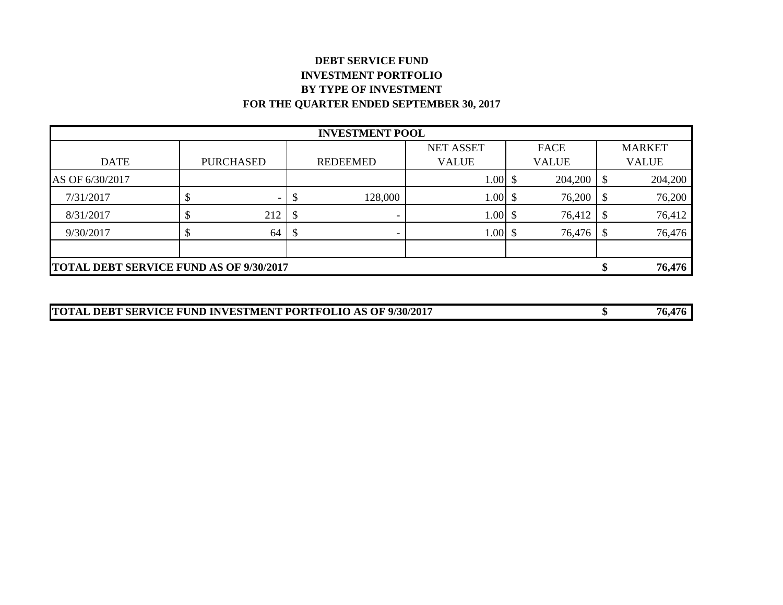## **DEBT SERVICE FUND INVESTMENT PORTFOLIO BY TYPE OF INVESTMENT FOR THE QUARTER ENDED SEPTEMBER 30, 2017**

| <b>INVESTMENT POOL</b> |                                                |                          |  |                          |                  |  |              |    |               |
|------------------------|------------------------------------------------|--------------------------|--|--------------------------|------------------|--|--------------|----|---------------|
|                        |                                                |                          |  |                          | <b>NET ASSET</b> |  | <b>FACE</b>  |    | <b>MARKET</b> |
| <b>DATE</b>            |                                                | <b>PURCHASED</b>         |  | <b>REDEEMED</b>          | <b>VALUE</b>     |  | <b>VALUE</b> |    | <b>VALUE</b>  |
| AS OF 6/30/2017        |                                                |                          |  |                          | $1.00 \,$ \$     |  | 204,200      |    | 204,200       |
| 7/31/2017              |                                                | $\overline{\phantom{0}}$ |  | 128,000                  | $1.00\;$ \$      |  | 76,200       | \$ | 76,200        |
| 8/31/2017              |                                                | 212                      |  | $\overline{\phantom{0}}$ | $1.00\;$ \$      |  | 76,412       |    | 76,412        |
| 9/30/2017              |                                                | 64                       |  | $\overline{\phantom{0}}$ | $1.00 \,$ \$     |  | 76,476       |    | 76,476        |
|                        |                                                |                          |  |                          |                  |  |              |    |               |
|                        | <b>TOTAL DEBT SERVICE FUND AS OF 9/30/2017</b> |                          |  |                          |                  |  |              |    | 76,476        |

| TOTAL DEBT SERVICE FUND INVESTMENT PORTFOLIO AS OF 9/30/2017 | 76,476 |
|--------------------------------------------------------------|--------|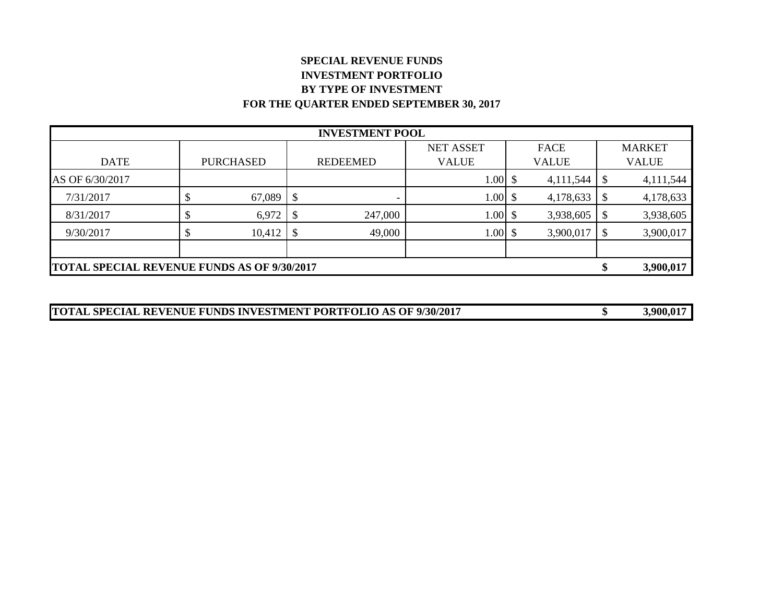## **SPECIAL REVENUE FUNDS INVESTMENT PORTFOLIO BY TYPE OF INVESTMENT FOR THE QUARTER ENDED SEPTEMBER 30, 2017**

| <b>INVESTMENT POOL</b> |                                                    |                  |    |                 |                  |  |              |     |               |
|------------------------|----------------------------------------------------|------------------|----|-----------------|------------------|--|--------------|-----|---------------|
|                        |                                                    |                  |    |                 | <b>NET ASSET</b> |  | <b>FACE</b>  |     | <b>MARKET</b> |
| <b>DATE</b>            |                                                    | <b>PURCHASED</b> |    | <b>REDEEMED</b> | <b>VALUE</b>     |  | <b>VALUE</b> |     | <b>VALUE</b>  |
| AS OF 6/30/2017        |                                                    |                  |    |                 | $1.00\;$ \$      |  | 4,111,544    |     | 4,111,544     |
| 7/31/2017              |                                                    | 67,089           | -S |                 | $1.00 \,$ \$     |  | 4,178,633    |     | 4,178,633     |
| 8/31/2017              |                                                    | 6,972            |    | 247,000         | $1.00 \,$ \$     |  | 3,938,605    |     | 3,938,605     |
| 9/30/2017              |                                                    | 10,412           |    | 49,000          | $1.00\;$ \$      |  | 3,900,017    | -\$ | 3,900,017     |
|                        |                                                    |                  |    |                 |                  |  |              |     |               |
|                        | <b>TOTAL SPECIAL REVENUE FUNDS AS OF 9/30/2017</b> |                  |    |                 |                  |  |              |     |               |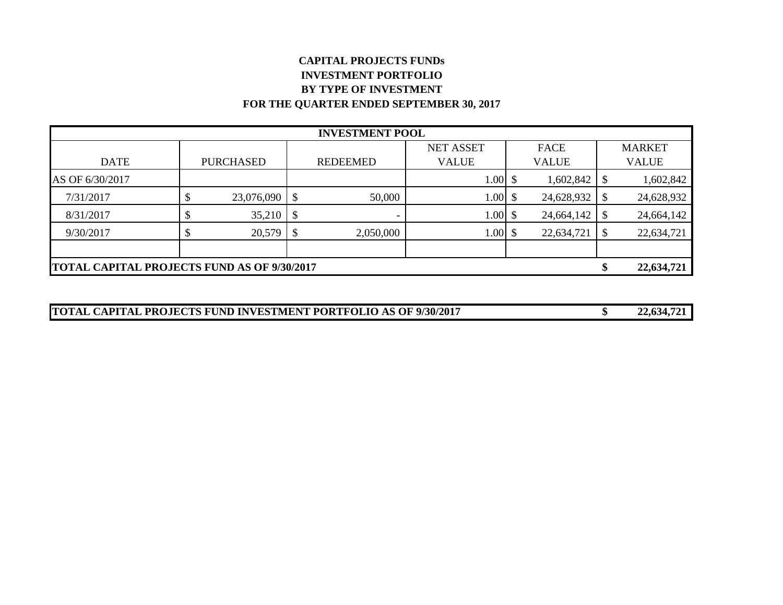## **CAPITAL PROJECTS FUNDs INVESTMENT PORTFOLIO BY TYPE OF INVESTMENT FOR THE QUARTER ENDED SEPTEMBER 30, 2017**

| <b>INVESTMENT POOL</b> |                                                         |                  |                            |                 |                  |  |              |    |               |
|------------------------|---------------------------------------------------------|------------------|----------------------------|-----------------|------------------|--|--------------|----|---------------|
|                        |                                                         |                  |                            |                 | <b>NET ASSET</b> |  | FACE         |    | <b>MARKET</b> |
| <b>DATE</b>            |                                                         | <b>PURCHASED</b> |                            | <b>REDEEMED</b> | <b>VALUE</b>     |  | <b>VALUE</b> |    | <b>VALUE</b>  |
| AS OF 6/30/2017        |                                                         |                  |                            |                 | $1.00\;$ \$      |  | 1,602,842    |    | 1,602,842     |
| 7/31/2017              |                                                         | 23,076,090       | $\boldsymbol{\mathsf{\$}}$ | 50,000          | $1.00\;$ \$      |  | 24,628,932   |    | 24,628,932    |
| 8/31/2017              |                                                         | 35,210           | \$                         | -               | $1.00\;$ \$      |  | 24,664,142   |    | 24,664,142    |
| 9/30/2017              |                                                         | 20,579           |                            | 2,050,000       | $1.00 \,$ \$     |  | 22,634,721   | -S | 22,634,721    |
|                        |                                                         |                  |                            |                 |                  |  |              |    |               |
|                        | <b>TOTAL CAPITAL PROJECTS FUND AS OF 9/30/2017</b><br>S |                  |                            |                 |                  |  |              |    |               |

| <b>TOTAL CAPITAL PROJECTS FUND INVESTMENT PORTFOLIO AS OF 9/30/2017</b> | 22,634,721 |
|-------------------------------------------------------------------------|------------|